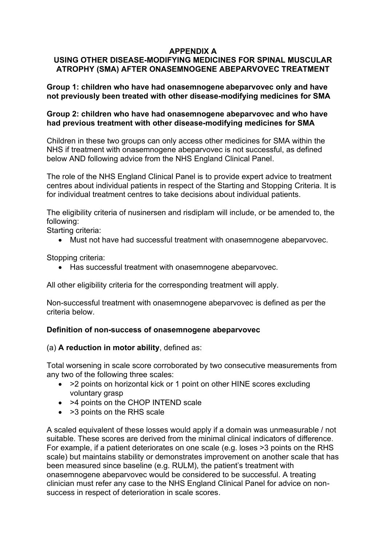# **APPENDIX A**

# **USING OTHER DISEASE-MODIFYING MEDICINES FOR SPINAL MUSCULAR ATROPHY (SMA) AFTER ONASEMNOGENE ABEPARVOVEC TREATMENT**

**Group 1: children who have had onasemnogene abeparvovec only and have not previously been treated with other disease-modifying medicines for SMA**

### **Group 2: children who have had onasemnogene abeparvovec and who have had previous treatment with other disease-modifying medicines for SMA**

Children in these two groups can only access other medicines for SMA within the NHS if treatment with onasemnogene abeparvovec is not successful, as defined below AND following advice from the NHS England Clinical Panel.

The role of the NHS England Clinical Panel is to provide expert advice to treatment centres about individual patients in respect of the Starting and Stopping Criteria. It is for individual treatment centres to take decisions about individual patients.

The eligibility criteria of nusinersen and risdiplam will include, or be amended to, the following:

Starting criteria:

• Must not have had successful treatment with onasemnogene abeparvovec.

Stopping criteria:

• Has successful treatment with onasemnogene abeparvovec.

All other eligibility criteria for the corresponding treatment will apply.

Non-successful treatment with onasemnogene abeparvovec is defined as per the criteria below.

### **Definition of non-success of onasemnogene abeparvovec**

#### (a) **A reduction in motor ability**, defined as:

Total worsening in scale score corroborated by two consecutive measurements from any two of the following three scales:

- > 2 points on horizontal kick or 1 point on other HINE scores excluding voluntary grasp
- >4 points on the CHOP INTEND scale
- > 3 points on the RHS scale

A scaled equivalent of these losses would apply if a domain was unmeasurable / not suitable. These scores are derived from the minimal clinical indicators of difference. For example, if a patient deteriorates on one scale (e.g. loses >3 points on the RHS scale) but maintains stability or demonstrates improvement on another scale that has been measured since baseline (e.g. RULM), the patient's treatment with onasemnogene abeparvovec would be considered to be successful. A treating clinician must refer any case to the NHS England Clinical Panel for advice on nonsuccess in respect of deterioration in scale scores.